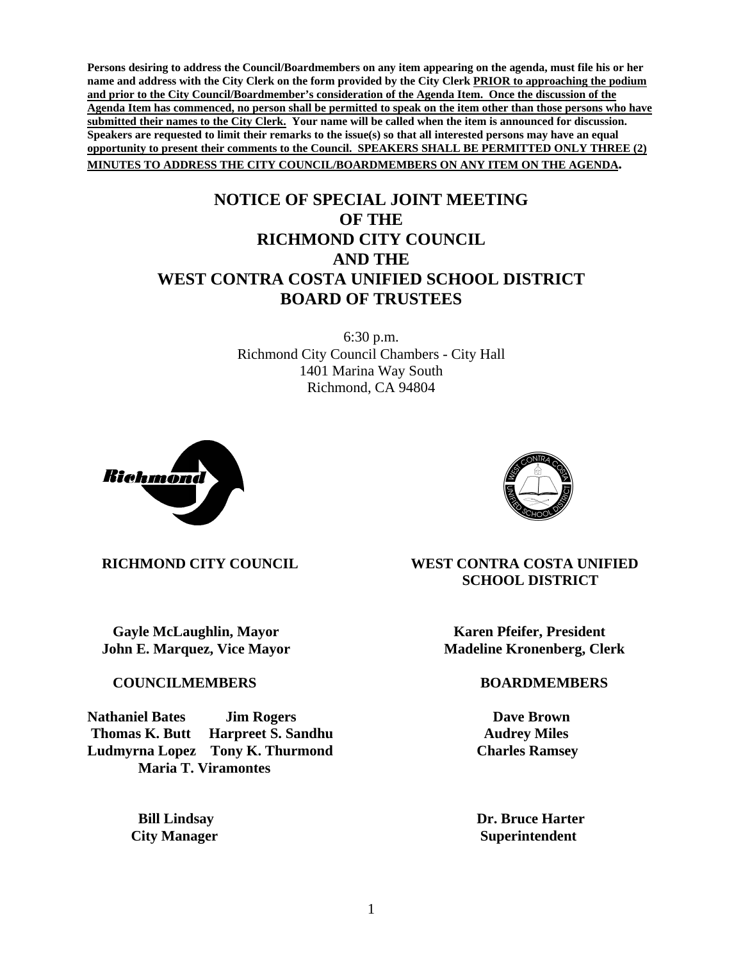**Persons desiring to address the Council/Boardmembers on any item appearing on the agenda, must file his or her name and address with the City Clerk on the form provided by the City Clerk PRIOR to approaching the podium and prior to the City Council/Boardmember's consideration of the Agenda Item. Once the discussion of the Agenda Item has commenced, no person shall be permitted to speak on the item other than those persons who have submitted their names to the City Clerk. Your name will be called when the item is announced for discussion. Speakers are requested to limit their remarks to the issue(s) so that all interested persons may have an equal opportunity to present their comments to the Council. SPEAKERS SHALL BE PERMITTED ONLY THREE (2) MINUTES TO ADDRESS THE CITY COUNCIL/BOARDMEMBERS ON ANY ITEM ON THE AGENDA.** 

## **NOTICE OF SPECIAL JOINT MEETING OF THE RICHMOND CITY COUNCIL AND THE WEST CONTRA COSTA UNIFIED SCHOOL DISTRICT BOARD OF TRUSTEES**

6:30 p.m. Richmond City Council Chambers - City Hall 1401 Marina Way South Richmond, CA 94804





**Gayle McLaughlin, Mayor**  Maximum **Karen Pfeifer, President John E. Marquez, Vice Mayor Madeline Kronenberg, Clerk** *Madeline Kronenberg***, Clerk** 

 **COUNCILMEMBERS BOARDMEMBERS** 

**Nathaniel Bates Jim Rogers Dave Brown Thomas K. Butt Harpreet S. Sandhu Audrey Miles Ludmyrna Lopez Tony K. Thurmond Charles Ramsey Maria T. Viramontes** 

 **RICHMOND CITY COUNCIL WEST CONTRA COSTA UNIFIED SCHOOL DISTRICT** 

*Bill Lindsay* **Dr. Bruce Harter City Manager Superintendent**